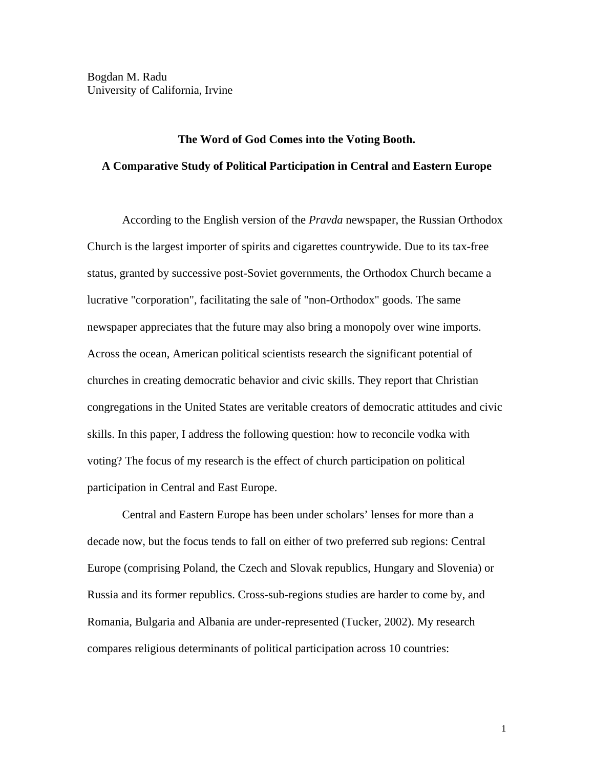# **The Word of God Comes into the Voting Booth. A Comparative Study of Political Participation in Central and Eastern Europe**

 According to the English version of the *Pravda* newspaper, the Russian Orthodox Church is the largest importer of spirits and cigarettes countrywide. Due to its tax-free status, granted by successive post-Soviet governments, the Orthodox Church became a lucrative "corporation", facilitating the sale of "non-Orthodox" goods. The same newspaper appreciates that the future may also bring a monopoly over wine imports. Across the ocean, American political scientists research the significant potential of churches in creating democratic behavior and civic skills. They report that Christian congregations in the United States are veritable creators of democratic attitudes and civic skills. In this paper, I address the following question: how to reconcile vodka with voting? The focus of my research is the effect of church participation on political participation in Central and East Europe.

Central and Eastern Europe has been under scholars' lenses for more than a decade now, but the focus tends to fall on either of two preferred sub regions: Central Europe (comprising Poland, the Czech and Slovak republics, Hungary and Slovenia) or Russia and its former republics. Cross-sub-regions studies are harder to come by, and Romania, Bulgaria and Albania are under-represented (Tucker, 2002). My research compares religious determinants of political participation across 10 countries: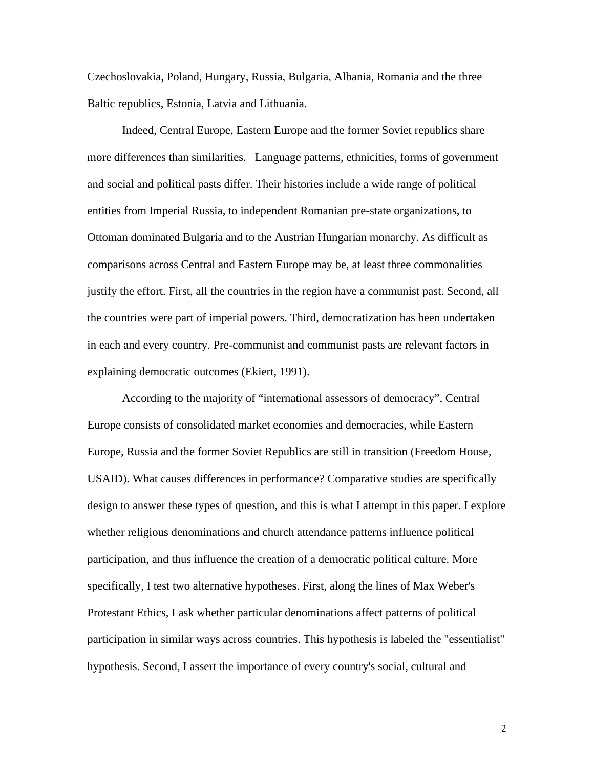Czechoslovakia, Poland, Hungary, Russia, Bulgaria, Albania, Romania and the three Baltic republics, Estonia, Latvia and Lithuania.

Indeed, Central Europe, Eastern Europe and the former Soviet republics share more differences than similarities. Language patterns, ethnicities, forms of government and social and political pasts differ. Their histories include a wide range of political entities from Imperial Russia, to independent Romanian pre-state organizations, to Ottoman dominated Bulgaria and to the Austrian Hungarian monarchy. As difficult as comparisons across Central and Eastern Europe may be, at least three commonalities justify the effort. First, all the countries in the region have a communist past. Second, all the countries were part of imperial powers. Third, democratization has been undertaken in each and every country. Pre-communist and communist pasts are relevant factors in explaining democratic outcomes (Ekiert, 1991).

 According to the majority of "international assessors of democracy", Central Europe consists of consolidated market economies and democracies, while Eastern Europe, Russia and the former Soviet Republics are still in transition (Freedom House, USAID). What causes differences in performance? Comparative studies are specifically design to answer these types of question, and this is what I attempt in this paper. I explore whether religious denominations and church attendance patterns influence political participation, and thus influence the creation of a democratic political culture. More specifically, I test two alternative hypotheses. First, along the lines of Max Weber's Protestant Ethics, I ask whether particular denominations affect patterns of political participation in similar ways across countries. This hypothesis is labeled the "essentialist" hypothesis. Second, I assert the importance of every country's social, cultural and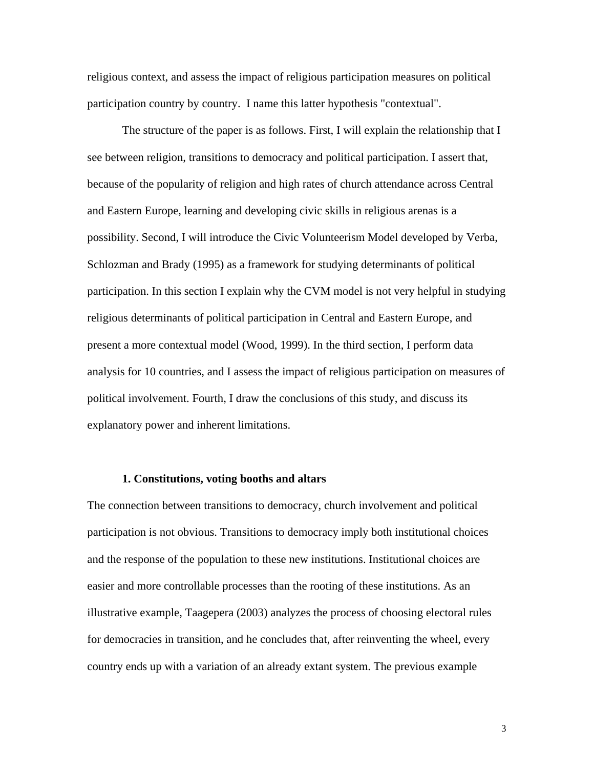religious context, and assess the impact of religious participation measures on political participation country by country. I name this latter hypothesis "contextual".

 The structure of the paper is as follows. First, I will explain the relationship that I see between religion, transitions to democracy and political participation. I assert that, because of the popularity of religion and high rates of church attendance across Central and Eastern Europe, learning and developing civic skills in religious arenas is a possibility. Second, I will introduce the Civic Volunteerism Model developed by Verba, Schlozman and Brady (1995) as a framework for studying determinants of political participation. In this section I explain why the CVM model is not very helpful in studying religious determinants of political participation in Central and Eastern Europe, and present a more contextual model (Wood, 1999). In the third section, I perform data analysis for 10 countries, and I assess the impact of religious participation on measures of political involvement. Fourth, I draw the conclusions of this study, and discuss its explanatory power and inherent limitations.

### **1. Constitutions, voting booths and altars**

The connection between transitions to democracy, church involvement and political participation is not obvious. Transitions to democracy imply both institutional choices and the response of the population to these new institutions. Institutional choices are easier and more controllable processes than the rooting of these institutions. As an illustrative example, Taagepera (2003) analyzes the process of choosing electoral rules for democracies in transition, and he concludes that, after reinventing the wheel, every country ends up with a variation of an already extant system. The previous example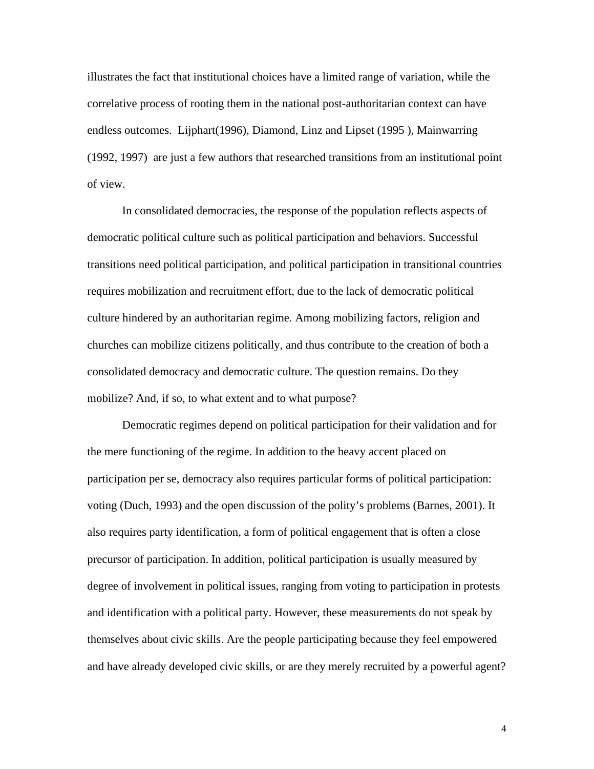illustrates the fact that institutional choices have a limited range of variation, while the correlative process of rooting them in the national post-authoritarian context can have endless outcomes. Lijphart(1996), Diamond, Linz and Lipset (1995 ), Mainwarring (1992, 1997) are just a few authors that researched transitions from an institutional point of view.

In consolidated democracies, the response of the population reflects aspects of democratic political culture such as political participation and behaviors. Successful transitions need political participation, and political participation in transitional countries requires mobilization and recruitment effort, due to the lack of democratic political culture hindered by an authoritarian regime. Among mobilizing factors, religion and churches can mobilize citizens politically, and thus contribute to the creation of both a consolidated democracy and democratic culture. The question remains. Do they mobilize? And, if so, to what extent and to what purpose?

 Democratic regimes depend on political participation for their validation and for the mere functioning of the regime. In addition to the heavy accent placed on participation per se, democracy also requires particular forms of political participation: voting (Duch, 1993) and the open discussion of the polity's problems (Barnes, 2001). It also requires party identification, a form of political engagement that is often a close precursor of participation. In addition, political participation is usually measured by degree of involvement in political issues, ranging from voting to participation in protests and identification with a political party. However, these measurements do not speak by themselves about civic skills. Are the people participating because they feel empowered and have already developed civic skills, or are they merely recruited by a powerful agent?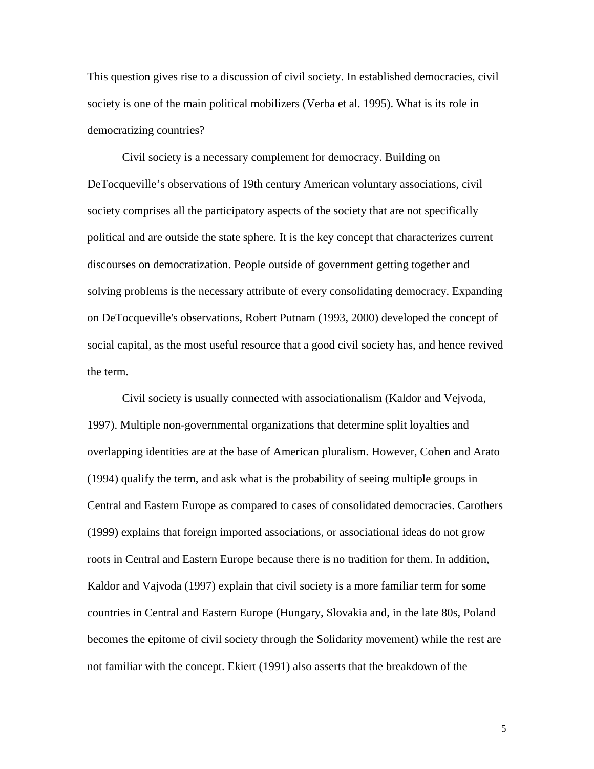This question gives rise to a discussion of civil society. In established democracies, civil society is one of the main political mobilizers (Verba et al. 1995). What is its role in democratizing countries?

 Civil society is a necessary complement for democracy. Building on DeTocqueville's observations of 19th century American voluntary associations, civil society comprises all the participatory aspects of the society that are not specifically political and are outside the state sphere. It is the key concept that characterizes current discourses on democratization. People outside of government getting together and solving problems is the necessary attribute of every consolidating democracy. Expanding on DeTocqueville's observations, Robert Putnam (1993, 2000) developed the concept of social capital, as the most useful resource that a good civil society has, and hence revived the term.

 Civil society is usually connected with associationalism (Kaldor and Vejvoda, 1997). Multiple non-governmental organizations that determine split loyalties and overlapping identities are at the base of American pluralism. However, Cohen and Arato (1994) qualify the term, and ask what is the probability of seeing multiple groups in Central and Eastern Europe as compared to cases of consolidated democracies. Carothers (1999) explains that foreign imported associations, or associational ideas do not grow roots in Central and Eastern Europe because there is no tradition for them. In addition, Kaldor and Vajvoda (1997) explain that civil society is a more familiar term for some countries in Central and Eastern Europe (Hungary, Slovakia and, in the late 80s, Poland becomes the epitome of civil society through the Solidarity movement) while the rest are not familiar with the concept. Ekiert (1991) also asserts that the breakdown of the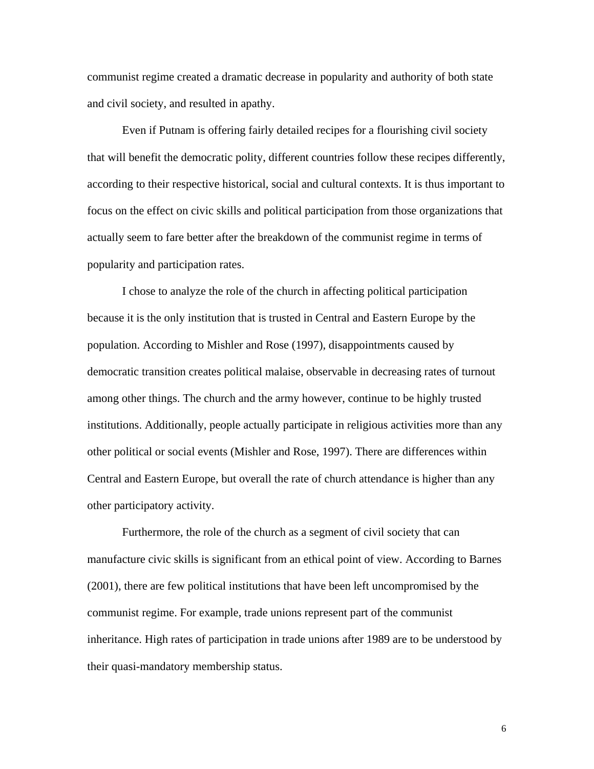communist regime created a dramatic decrease in popularity and authority of both state and civil society, and resulted in apathy.

 Even if Putnam is offering fairly detailed recipes for a flourishing civil society that will benefit the democratic polity, different countries follow these recipes differently, according to their respective historical, social and cultural contexts. It is thus important to focus on the effect on civic skills and political participation from those organizations that actually seem to fare better after the breakdown of the communist regime in terms of popularity and participation rates.

I chose to analyze the role of the church in affecting political participation because it is the only institution that is trusted in Central and Eastern Europe by the population. According to Mishler and Rose (1997), disappointments caused by democratic transition creates political malaise, observable in decreasing rates of turnout among other things. The church and the army however, continue to be highly trusted institutions. Additionally, people actually participate in religious activities more than any other political or social events (Mishler and Rose, 1997). There are differences within Central and Eastern Europe, but overall the rate of church attendance is higher than any other participatory activity.

 Furthermore, the role of the church as a segment of civil society that can manufacture civic skills is significant from an ethical point of view. According to Barnes (2001), there are few political institutions that have been left uncompromised by the communist regime. For example, trade unions represent part of the communist inheritance. High rates of participation in trade unions after 1989 are to be understood by their quasi-mandatory membership status.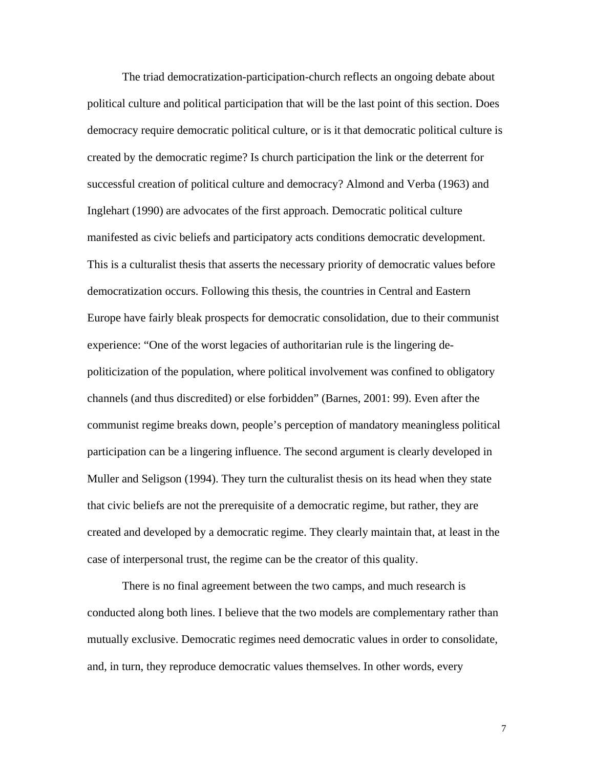The triad democratization-participation-church reflects an ongoing debate about political culture and political participation that will be the last point of this section. Does democracy require democratic political culture, or is it that democratic political culture is created by the democratic regime? Is church participation the link or the deterrent for successful creation of political culture and democracy? Almond and Verba (1963) and Inglehart (1990) are advocates of the first approach. Democratic political culture manifested as civic beliefs and participatory acts conditions democratic development. This is a culturalist thesis that asserts the necessary priority of democratic values before democratization occurs. Following this thesis, the countries in Central and Eastern Europe have fairly bleak prospects for democratic consolidation, due to their communist experience: "One of the worst legacies of authoritarian rule is the lingering depoliticization of the population, where political involvement was confined to obligatory channels (and thus discredited) or else forbidden" (Barnes, 2001: 99). Even after the communist regime breaks down, people's perception of mandatory meaningless political participation can be a lingering influence. The second argument is clearly developed in Muller and Seligson (1994). They turn the culturalist thesis on its head when they state that civic beliefs are not the prerequisite of a democratic regime, but rather, they are created and developed by a democratic regime. They clearly maintain that, at least in the case of interpersonal trust, the regime can be the creator of this quality.

There is no final agreement between the two camps, and much research is conducted along both lines. I believe that the two models are complementary rather than mutually exclusive. Democratic regimes need democratic values in order to consolidate, and, in turn, they reproduce democratic values themselves. In other words, every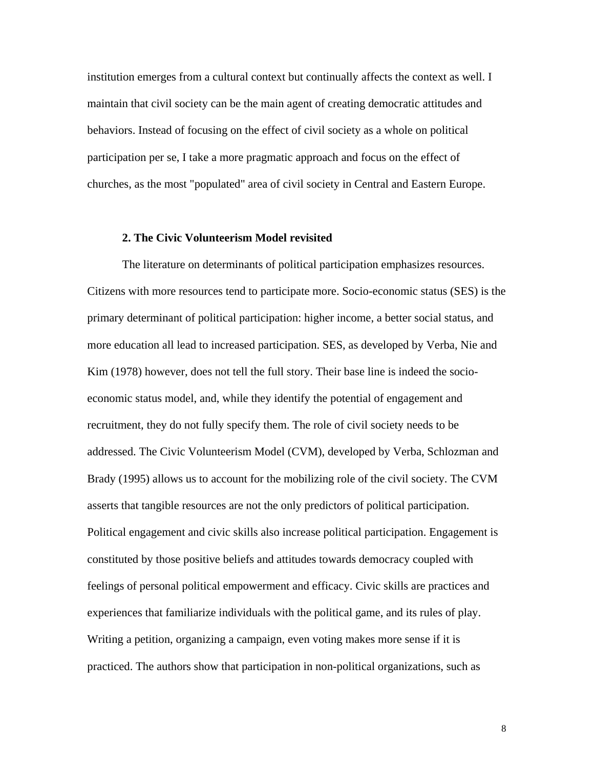institution emerges from a cultural context but continually affects the context as well. I maintain that civil society can be the main agent of creating democratic attitudes and behaviors. Instead of focusing on the effect of civil society as a whole on political participation per se, I take a more pragmatic approach and focus on the effect of churches, as the most "populated" area of civil society in Central and Eastern Europe.

# **2. The Civic Volunteerism Model revisited**

The literature on determinants of political participation emphasizes resources. Citizens with more resources tend to participate more. Socio-economic status (SES) is the primary determinant of political participation: higher income, a better social status, and more education all lead to increased participation. SES, as developed by Verba, Nie and Kim (1978) however, does not tell the full story. Their base line is indeed the socioeconomic status model, and, while they identify the potential of engagement and recruitment, they do not fully specify them. The role of civil society needs to be addressed. The Civic Volunteerism Model (CVM), developed by Verba, Schlozman and Brady (1995) allows us to account for the mobilizing role of the civil society. The CVM asserts that tangible resources are not the only predictors of political participation. Political engagement and civic skills also increase political participation. Engagement is constituted by those positive beliefs and attitudes towards democracy coupled with feelings of personal political empowerment and efficacy. Civic skills are practices and experiences that familiarize individuals with the political game, and its rules of play. Writing a petition, organizing a campaign, even voting makes more sense if it is practiced. The authors show that participation in non-political organizations, such as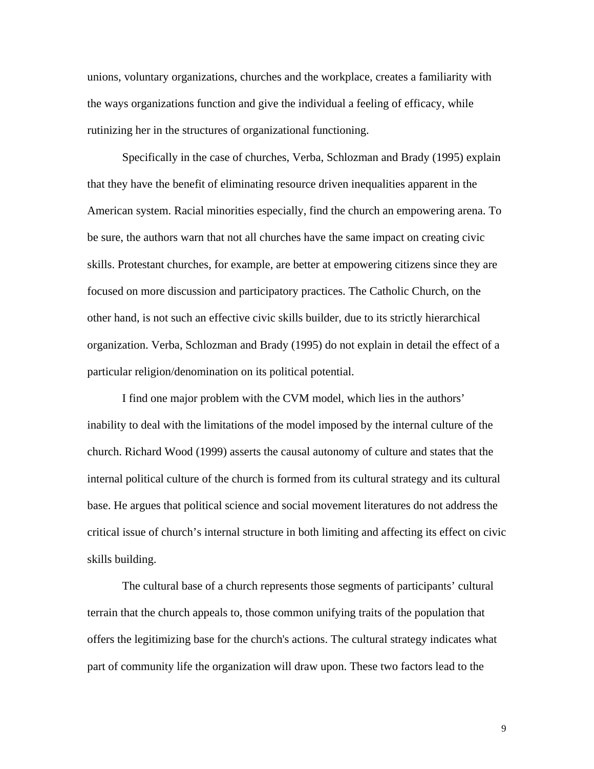unions, voluntary organizations, churches and the workplace, creates a familiarity with the ways organizations function and give the individual a feeling of efficacy, while rutinizing her in the structures of organizational functioning.

Specifically in the case of churches, Verba, Schlozman and Brady (1995) explain that they have the benefit of eliminating resource driven inequalities apparent in the American system. Racial minorities especially, find the church an empowering arena. To be sure, the authors warn that not all churches have the same impact on creating civic skills. Protestant churches, for example, are better at empowering citizens since they are focused on more discussion and participatory practices. The Catholic Church, on the other hand, is not such an effective civic skills builder, due to its strictly hierarchical organization. Verba, Schlozman and Brady (1995) do not explain in detail the effect of a particular religion/denomination on its political potential.

I find one major problem with the CVM model, which lies in the authors' inability to deal with the limitations of the model imposed by the internal culture of the church. Richard Wood (1999) asserts the causal autonomy of culture and states that the internal political culture of the church is formed from its cultural strategy and its cultural base. He argues that political science and social movement literatures do not address the critical issue of church's internal structure in both limiting and affecting its effect on civic skills building.

The cultural base of a church represents those segments of participants' cultural terrain that the church appeals to, those common unifying traits of the population that offers the legitimizing base for the church's actions. The cultural strategy indicates what part of community life the organization will draw upon. These two factors lead to the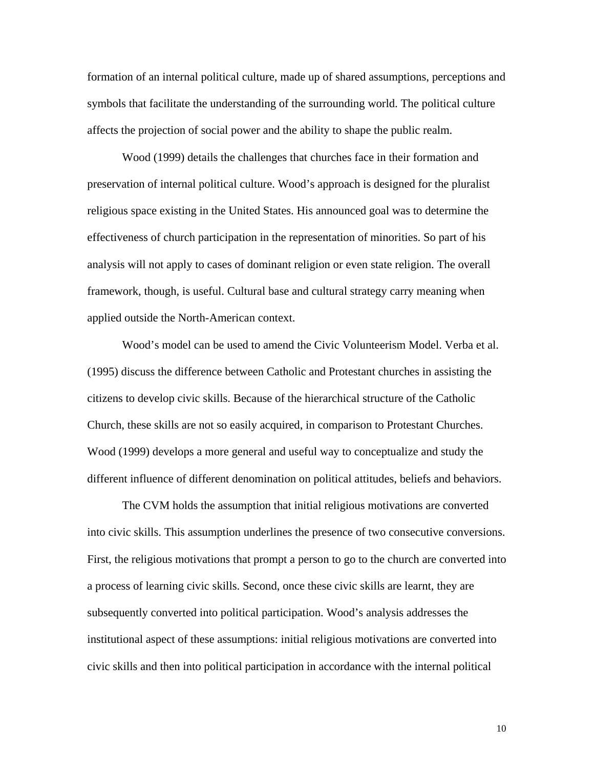formation of an internal political culture, made up of shared assumptions, perceptions and symbols that facilitate the understanding of the surrounding world. The political culture affects the projection of social power and the ability to shape the public realm.

Wood (1999) details the challenges that churches face in their formation and preservation of internal political culture. Wood's approach is designed for the pluralist religious space existing in the United States. His announced goal was to determine the effectiveness of church participation in the representation of minorities. So part of his analysis will not apply to cases of dominant religion or even state religion. The overall framework, though, is useful. Cultural base and cultural strategy carry meaning when applied outside the North-American context.

Wood's model can be used to amend the Civic Volunteerism Model. Verba et al. (1995) discuss the difference between Catholic and Protestant churches in assisting the citizens to develop civic skills. Because of the hierarchical structure of the Catholic Church, these skills are not so easily acquired, in comparison to Protestant Churches. Wood (1999) develops a more general and useful way to conceptualize and study the different influence of different denomination on political attitudes, beliefs and behaviors.

The CVM holds the assumption that initial religious motivations are converted into civic skills. This assumption underlines the presence of two consecutive conversions. First, the religious motivations that prompt a person to go to the church are converted into a process of learning civic skills. Second, once these civic skills are learnt, they are subsequently converted into political participation. Wood's analysis addresses the institutional aspect of these assumptions: initial religious motivations are converted into civic skills and then into political participation in accordance with the internal political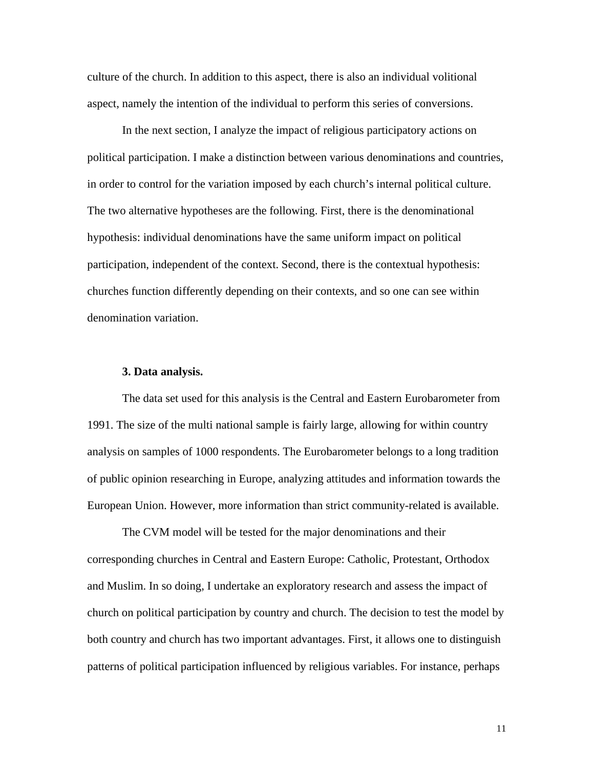culture of the church. In addition to this aspect, there is also an individual volitional aspect, namely the intention of the individual to perform this series of conversions.

In the next section, I analyze the impact of religious participatory actions on political participation. I make a distinction between various denominations and countries, in order to control for the variation imposed by each church's internal political culture. The two alternative hypotheses are the following. First, there is the denominational hypothesis: individual denominations have the same uniform impact on political participation, independent of the context. Second, there is the contextual hypothesis: churches function differently depending on their contexts, and so one can see within denomination variation.

#### **3. Data analysis.**

The data set used for this analysis is the Central and Eastern Eurobarometer from 1991. The size of the multi national sample is fairly large, allowing for within country analysis on samples of 1000 respondents. The Eurobarometer belongs to a long tradition of public opinion researching in Europe, analyzing attitudes and information towards the European Union. However, more information than strict community-related is available.

The CVM model will be tested for the major denominations and their corresponding churches in Central and Eastern Europe: Catholic, Protestant, Orthodox and Muslim. In so doing, I undertake an exploratory research and assess the impact of church on political participation by country and church. The decision to test the model by both country and church has two important advantages. First, it allows one to distinguish patterns of political participation influenced by religious variables. For instance, perhaps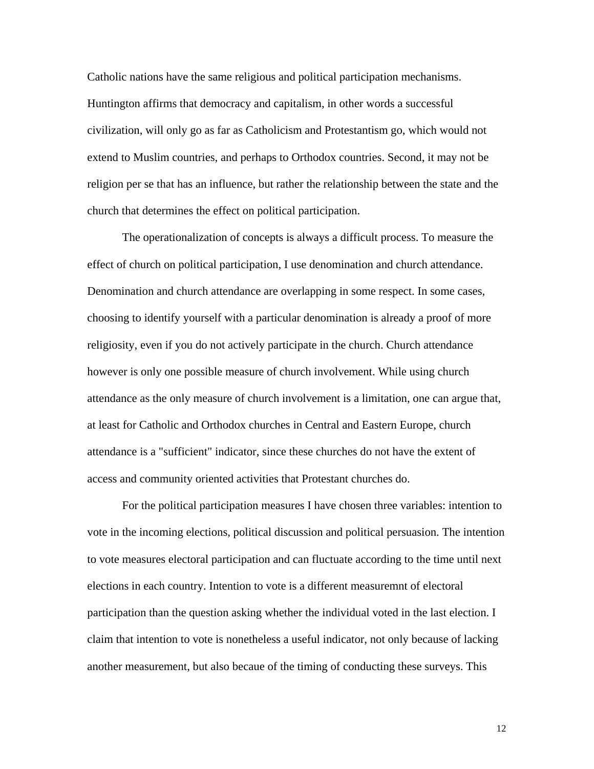Catholic nations have the same religious and political participation mechanisms. Huntington affirms that democracy and capitalism, in other words a successful civilization, will only go as far as Catholicism and Protestantism go, which would not extend to Muslim countries, and perhaps to Orthodox countries. Second, it may not be religion per se that has an influence, but rather the relationship between the state and the church that determines the effect on political participation.

The operationalization of concepts is always a difficult process. To measure the effect of church on political participation, I use denomination and church attendance. Denomination and church attendance are overlapping in some respect. In some cases, choosing to identify yourself with a particular denomination is already a proof of more religiosity, even if you do not actively participate in the church. Church attendance however is only one possible measure of church involvement. While using church attendance as the only measure of church involvement is a limitation, one can argue that, at least for Catholic and Orthodox churches in Central and Eastern Europe, church attendance is a "sufficient" indicator, since these churches do not have the extent of access and community oriented activities that Protestant churches do.

For the political participation measures I have chosen three variables: intention to vote in the incoming elections, political discussion and political persuasion. The intention to vote measures electoral participation and can fluctuate according to the time until next elections in each country. Intention to vote is a different measuremnt of electoral participation than the question asking whether the individual voted in the last election. I claim that intention to vote is nonetheless a useful indicator, not only because of lacking another measurement, but also becaue of the timing of conducting these surveys. This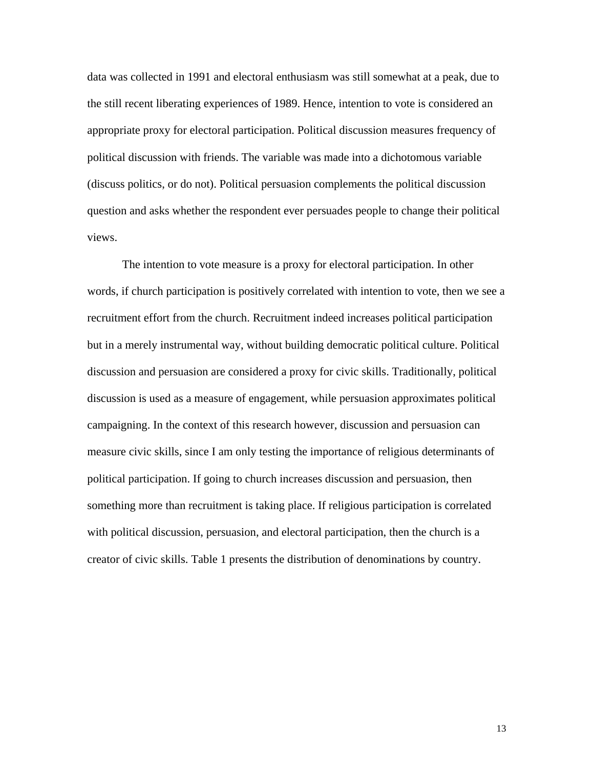data was collected in 1991 and electoral enthusiasm was still somewhat at a peak, due to the still recent liberating experiences of 1989. Hence, intention to vote is considered an appropriate proxy for electoral participation. Political discussion measures frequency of political discussion with friends. The variable was made into a dichotomous variable (discuss politics, or do not). Political persuasion complements the political discussion question and asks whether the respondent ever persuades people to change their political views.

The intention to vote measure is a proxy for electoral participation. In other words, if church participation is positively correlated with intention to vote, then we see a recruitment effort from the church. Recruitment indeed increases political participation but in a merely instrumental way, without building democratic political culture. Political discussion and persuasion are considered a proxy for civic skills. Traditionally, political discussion is used as a measure of engagement, while persuasion approximates political campaigning. In the context of this research however, discussion and persuasion can measure civic skills, since I am only testing the importance of religious determinants of political participation. If going to church increases discussion and persuasion, then something more than recruitment is taking place. If religious participation is correlated with political discussion, persuasion, and electoral participation, then the church is a creator of civic skills. Table 1 presents the distribution of denominations by country.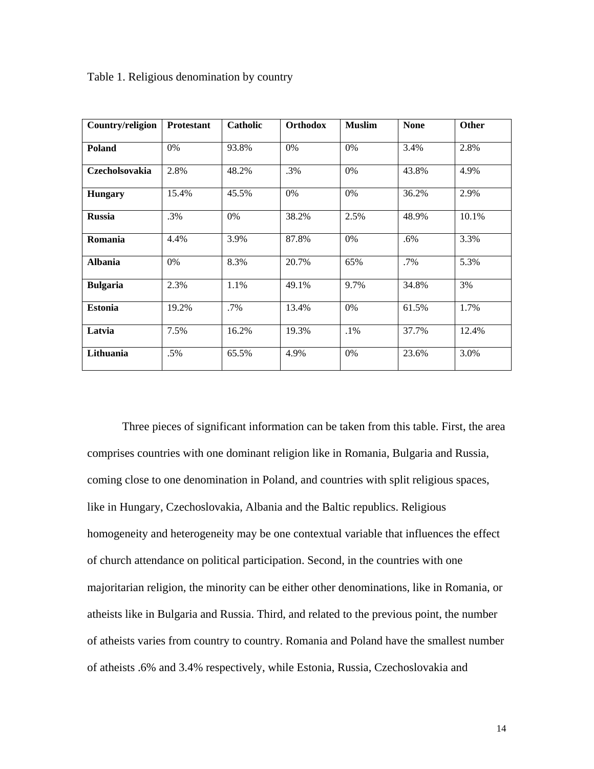| Country/religion | <b>Protestant</b> | <b>Catholic</b> | Orthodox | <b>Muslim</b> | <b>None</b> | Other |
|------------------|-------------------|-----------------|----------|---------------|-------------|-------|
| <b>Poland</b>    | $0\%$             | 93.8%           | 0%       | 0%            | 3.4%        | 2.8%  |
| Czecholsovakia   | 2.8%              | 48.2%           | .3%      | $0\%$         | 43.8%       | 4.9%  |
| <b>Hungary</b>   | 15.4%             | 45.5%           | 0%       | 0%            | 36.2%       | 2.9%  |
| <b>Russia</b>    | .3%               | $0\%$           | 38.2%    | 2.5%          | 48.9%       | 10.1% |
| Romania          | 4.4%              | 3.9%            | 87.8%    | 0%            | .6%         | 3.3%  |
| <b>Albania</b>   | $0\%$             | 8.3%            | 20.7%    | 65%           | .7%         | 5.3%  |
| <b>Bulgaria</b>  | 2.3%              | 1.1%            | 49.1%    | 9.7%          | 34.8%       | 3%    |
| <b>Estonia</b>   | 19.2%             | .7%             | 13.4%    | 0%            | 61.5%       | 1.7%  |
| Latvia           | 7.5%              | 16.2%           | 19.3%    | $.1\%$        | 37.7%       | 12.4% |
| Lithuania        | .5%               | 65.5%           | 4.9%     | 0%            | 23.6%       | 3.0%  |

Table 1. Religious denomination by country

 Three pieces of significant information can be taken from this table. First, the area comprises countries with one dominant religion like in Romania, Bulgaria and Russia, coming close to one denomination in Poland, and countries with split religious spaces, like in Hungary, Czechoslovakia, Albania and the Baltic republics. Religious homogeneity and heterogeneity may be one contextual variable that influences the effect of church attendance on political participation. Second, in the countries with one majoritarian religion, the minority can be either other denominations, like in Romania, or atheists like in Bulgaria and Russia. Third, and related to the previous point, the number of atheists varies from country to country. Romania and Poland have the smallest number of atheists .6% and 3.4% respectively, while Estonia, Russia, Czechoslovakia and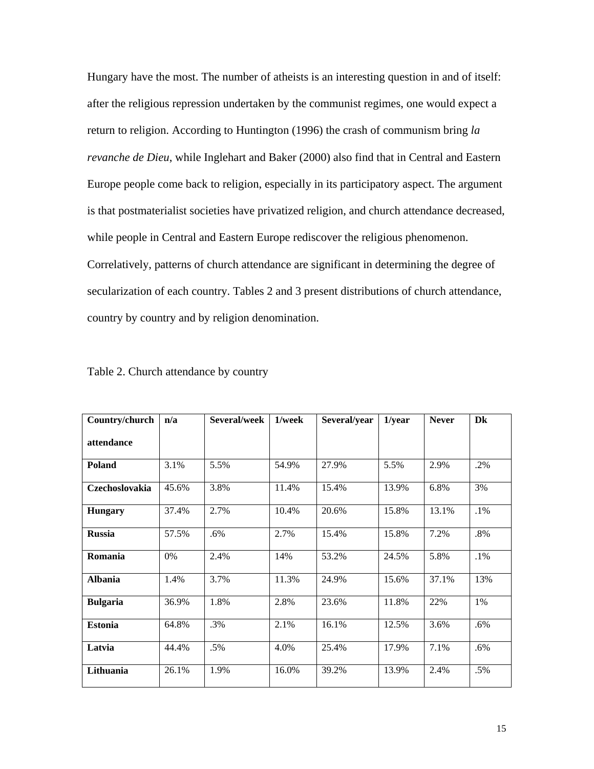Hungary have the most. The number of atheists is an interesting question in and of itself: after the religious repression undertaken by the communist regimes, one would expect a return to religion. According to Huntington (1996) the crash of communism bring *la revanche de Dieu*, while Inglehart and Baker (2000) also find that in Central and Eastern Europe people come back to religion, especially in its participatory aspect. The argument is that postmaterialist societies have privatized religion, and church attendance decreased, while people in Central and Eastern Europe rediscover the religious phenomenon. Correlatively, patterns of church attendance are significant in determining the degree of secularization of each country. Tables 2 and 3 present distributions of church attendance, country by country and by religion denomination.

| Country/church        | n/a   | Several/week | 1/week | Several/year | $1$ /year | <b>Never</b> | Dk     |
|-----------------------|-------|--------------|--------|--------------|-----------|--------------|--------|
| attendance            |       |              |        |              |           |              |        |
| <b>Poland</b>         | 3.1%  | 5.5%         | 54.9%  | 27.9%        | 5.5%      | 2.9%         | .2%    |
| <b>Czechoslovakia</b> | 45.6% | 3.8%         | 11.4%  | 15.4%        | 13.9%     | 6.8%         | 3%     |
| <b>Hungary</b>        | 37.4% | 2.7%         | 10.4%  | 20.6%        | 15.8%     | 13.1%        | $.1\%$ |
| <b>Russia</b>         | 57.5% | .6%          | 2.7%   | 15.4%        | 15.8%     | 7.2%         | .8%    |
| Romania               | 0%    | 2.4%         | 14%    | 53.2%        | 24.5%     | 5.8%         | $.1\%$ |
| <b>Albania</b>        | 1.4%  | 3.7%         | 11.3%  | 24.9%        | 15.6%     | 37.1%        | 13%    |
| <b>Bulgaria</b>       | 36.9% | 1.8%         | 2.8%   | 23.6%        | 11.8%     | 22%          | 1%     |
| <b>Estonia</b>        | 64.8% | .3%          | 2.1%   | 16.1%        | 12.5%     | 3.6%         | .6%    |
| Latvia                | 44.4% | .5%          | 4.0%   | 25.4%        | 17.9%     | 7.1%         | .6%    |
| Lithuania             | 26.1% | 1.9%         | 16.0%  | 39.2%        | 13.9%     | 2.4%         | .5%    |

Table 2. Church attendance by country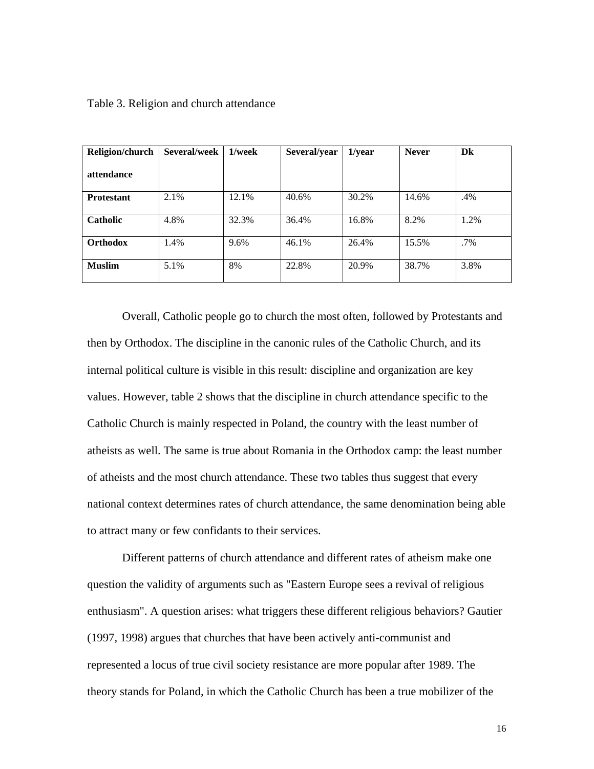|  |  |  |  | Table 3. Religion and church attendance |
|--|--|--|--|-----------------------------------------|
|--|--|--|--|-----------------------------------------|

| Religion/church   | Several/week | 1/week | Several/year | $1$ /year | <b>Never</b> | Dk     |
|-------------------|--------------|--------|--------------|-----------|--------------|--------|
| attendance        |              |        |              |           |              |        |
| <b>Protestant</b> | 2.1%         | 12.1%  | 40.6%        | 30.2%     | 14.6%        | .4%    |
| Catholic          | 4.8%         | 32.3%  | 36.4%        | 16.8%     | 8.2%         | 1.2%   |
| Orthodox          | 1.4%         | 9.6%   | 46.1%        | 26.4%     | 15.5%        | $.7\%$ |
| <b>Muslim</b>     | 5.1%         | 8%     | 22.8%        | 20.9%     | 38.7%        | 3.8%   |

Overall, Catholic people go to church the most often, followed by Protestants and then by Orthodox. The discipline in the canonic rules of the Catholic Church, and its internal political culture is visible in this result: discipline and organization are key values. However, table 2 shows that the discipline in church attendance specific to the Catholic Church is mainly respected in Poland, the country with the least number of atheists as well. The same is true about Romania in the Orthodox camp: the least number of atheists and the most church attendance. These two tables thus suggest that every national context determines rates of church attendance, the same denomination being able to attract many or few confidants to their services.

Different patterns of church attendance and different rates of atheism make one question the validity of arguments such as "Eastern Europe sees a revival of religious enthusiasm". A question arises: what triggers these different religious behaviors? Gautier (1997, 1998) argues that churches that have been actively anti-communist and represented a locus of true civil society resistance are more popular after 1989. The theory stands for Poland, in which the Catholic Church has been a true mobilizer of the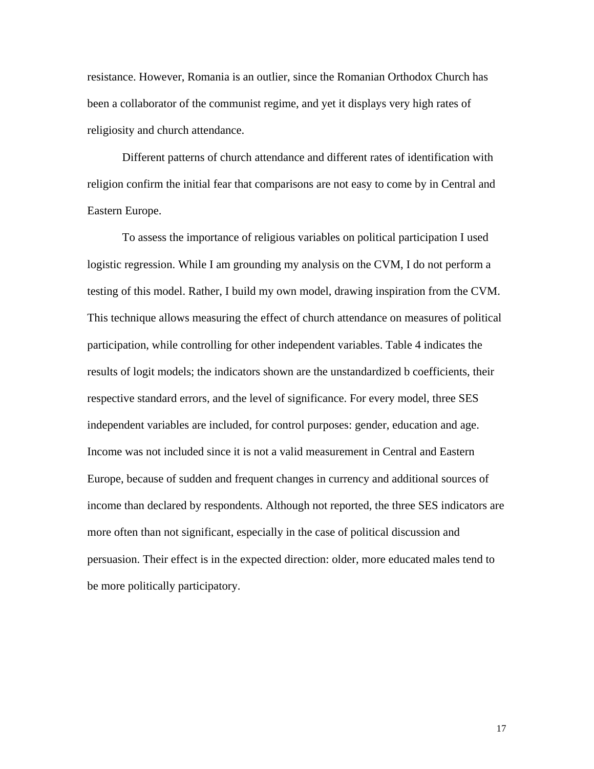resistance. However, Romania is an outlier, since the Romanian Orthodox Church has been a collaborator of the communist regime, and yet it displays very high rates of religiosity and church attendance.

Different patterns of church attendance and different rates of identification with religion confirm the initial fear that comparisons are not easy to come by in Central and Eastern Europe.

To assess the importance of religious variables on political participation I used logistic regression. While I am grounding my analysis on the CVM, I do not perform a testing of this model. Rather, I build my own model, drawing inspiration from the CVM. This technique allows measuring the effect of church attendance on measures of political participation, while controlling for other independent variables. Table 4 indicates the results of logit models; the indicators shown are the unstandardized b coefficients, their respective standard errors, and the level of significance. For every model, three SES independent variables are included, for control purposes: gender, education and age. Income was not included since it is not a valid measurement in Central and Eastern Europe, because of sudden and frequent changes in currency and additional sources of income than declared by respondents. Although not reported, the three SES indicators are more often than not significant, especially in the case of political discussion and persuasion. Their effect is in the expected direction: older, more educated males tend to be more politically participatory.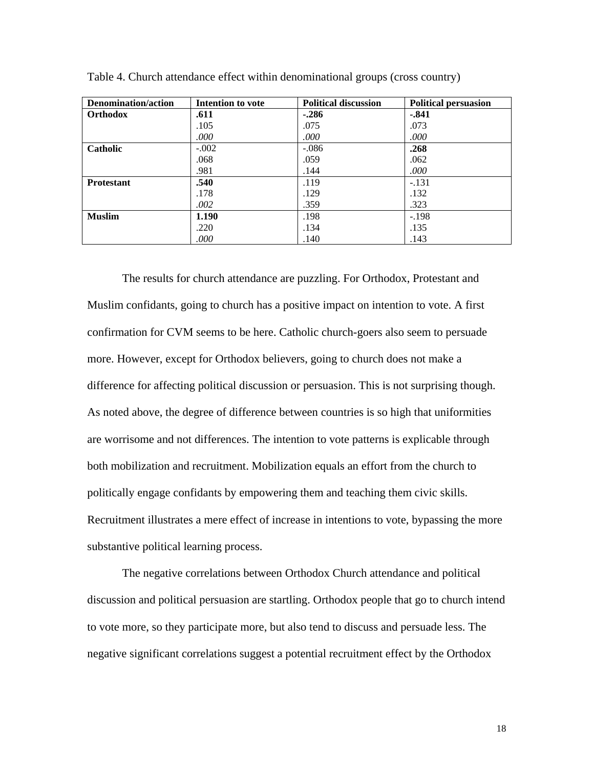| <b>Denomination/action</b> | Intention to vote | <b>Political discussion</b> | <b>Political persuasion</b> |
|----------------------------|-------------------|-----------------------------|-----------------------------|
| <b>Orthodox</b>            | .611              | $-.286$                     | $-.841$                     |
|                            | .105              | .075                        | .073                        |
|                            | .000              | .000                        | .000                        |
| <b>Catholic</b>            | $-.002$           | $-.086$                     | .268                        |
|                            | .068              | .059                        | .062                        |
|                            | .981              | .144                        | .000                        |
| <b>Protestant</b>          | .540              | .119                        | $-.131$                     |
|                            | .178              | .129                        | .132                        |
|                            | .002              | .359                        | .323                        |
| <b>Muslim</b>              | 1.190             | .198                        | $-.198$                     |
|                            | .220              | .134                        | .135                        |
|                            | .000              | .140                        | .143                        |

Table 4. Church attendance effect within denominational groups (cross country)

The results for church attendance are puzzling. For Orthodox, Protestant and Muslim confidants, going to church has a positive impact on intention to vote. A first confirmation for CVM seems to be here. Catholic church-goers also seem to persuade more. However, except for Orthodox believers, going to church does not make a difference for affecting political discussion or persuasion. This is not surprising though. As noted above, the degree of difference between countries is so high that uniformities are worrisome and not differences. The intention to vote patterns is explicable through both mobilization and recruitment. Mobilization equals an effort from the church to politically engage confidants by empowering them and teaching them civic skills. Recruitment illustrates a mere effect of increase in intentions to vote, bypassing the more substantive political learning process.

The negative correlations between Orthodox Church attendance and political discussion and political persuasion are startling. Orthodox people that go to church intend to vote more, so they participate more, but also tend to discuss and persuade less. The negative significant correlations suggest a potential recruitment effect by the Orthodox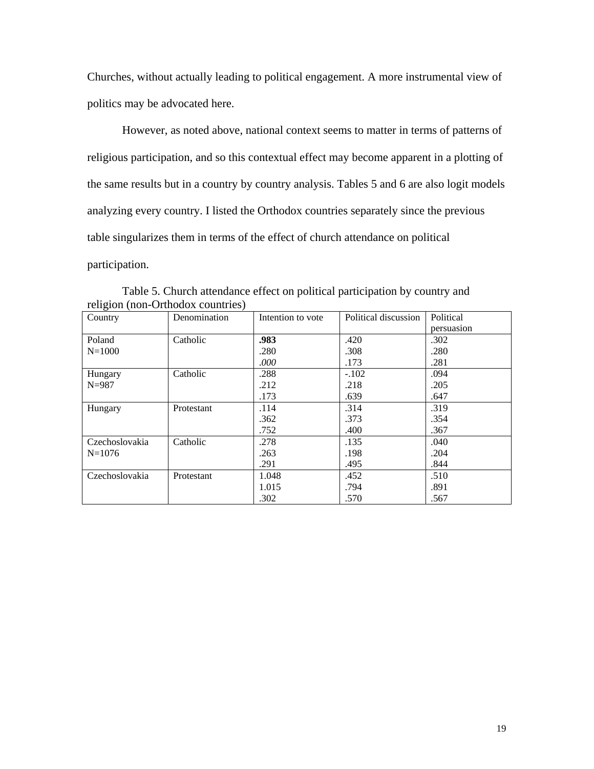Churches, without actually leading to political engagement. A more instrumental view of politics may be advocated here.

However, as noted above, national context seems to matter in terms of patterns of religious participation, and so this contextual effect may become apparent in a plotting of the same results but in a country by country analysis. Tables 5 and 6 are also logit models analyzing every country. I listed the Orthodox countries separately since the previous table singularizes them in terms of the effect of church attendance on political participation.

|                | religion (non-Orthodox countries) |                   |                      |            |
|----------------|-----------------------------------|-------------------|----------------------|------------|
| Country        | Denomination                      | Intention to vote | Political discussion | Political  |
|                |                                   |                   |                      | persuasion |
| Poland         | Catholic                          | .983              | .420                 | .302       |
| $N = 1000$     |                                   | .280              | .308                 | .280       |
|                |                                   | .000              | .173                 | .281       |
| Hungary        | Catholic                          | .288              | $-.102$              | .094       |
| $N = 987$      |                                   | .212              | .218                 | .205       |
|                |                                   | .173              | .639                 | .647       |
| Hungary        | Protestant                        | .114              | .314                 | .319       |
|                |                                   | .362              | .373                 | .354       |
|                |                                   | .752              | .400                 | .367       |
| Czechoslovakia | Catholic                          | .278              | .135                 | .040       |
| $N=1076$       |                                   | .263              | .198                 | .204       |
|                |                                   | .291              | .495                 | .844       |
| Czechoslovakia | Protestant                        | 1.048             | .452                 | .510       |
|                |                                   | 1.015             | .794                 | .891       |
|                |                                   | .302              | .570                 | .567       |

Table 5. Church attendance effect on political participation by country and religion (non-Orthodox countries)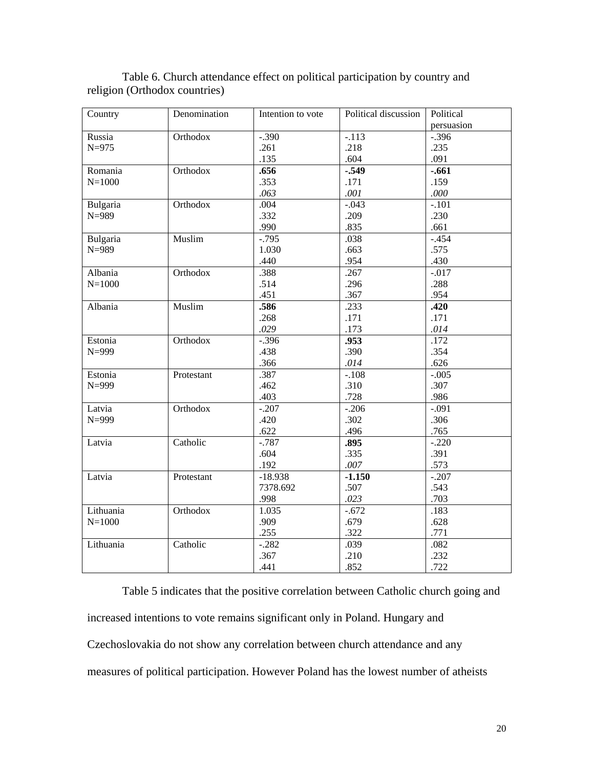| Country    | Denomination | Intention to vote | Political discussion | Political  |
|------------|--------------|-------------------|----------------------|------------|
|            |              |                   |                      | persuasion |
| Russia     | Orthodox     | $-.390$           | $-.113$              | $-.396$    |
| $N = 975$  |              | .261              | .218                 | .235       |
|            |              | .135              | .604                 | .091       |
| Romania    | Orthodox     | .656              | $-.549$              | $-.661$    |
| $N = 1000$ |              | .353              | .171                 | .159       |
|            |              | .063              | .001                 | .000       |
| Bulgaria   | Orthodox     | .004              | $-.043$              | $-101$     |
| $N = 989$  |              | .332              | .209                 | .230       |
|            |              | .990              | .835                 | .661       |
| Bulgaria   | Muslim       | $-0.795$          | .038                 | $-.454$    |
| $N = 989$  |              | 1.030             | .663                 | .575       |
|            |              | .440              | .954                 | .430       |
| Albania    | Orthodox     | .388              | .267                 | $-0.017$   |
| $N = 1000$ |              | .514              | .296                 | .288       |
|            |              | .451              | .367                 | .954       |
| Albania    | Muslim       | .586              | .233                 | .420       |
|            |              | .268              | .171                 | .171       |
|            |              | .029              | .173                 | .014       |
| Estonia    | Orthodox     | $-.396$           | .953                 | .172       |
| $N = 999$  |              | .438              | .390                 | .354       |
|            |              | .366              | .014                 | .626       |
| Estonia    | Protestant   | .387              | $-.108$              | $-.005$    |
| $N = 999$  |              | .462              | .310                 | .307       |
|            |              | .403              | .728                 | .986       |
| Latvia     | Orthodox     | $-.207$           | $-.206$              | $-0.091$   |
| $N = 999$  |              | .420              | .302                 | .306       |
|            |              | .622              | .496                 | .765       |
| Latvia     | Catholic     | $-.787$           | .895                 | $-.220$    |
|            |              | .604              | .335                 | .391       |
|            |              | .192              | $.007$               | .573       |
| Latvia     | Protestant   | $-18.938$         | $-1.150$             | $-.207$    |
|            |              | 7378.692          | .507                 | .543       |
|            |              | .998              | .023                 | .703       |
| Lithuania  | Orthodox     | 1.035             | $-.672$              | .183       |
| $N = 1000$ |              | .909              | .679                 | .628       |
|            |              | .255              | .322                 | .771       |
| Lithuania  | Catholic     | $-.282$           | .039                 | .082       |
|            |              | .367              | .210                 | .232       |
|            |              | .441              | .852                 | .722       |

Table 6. Church attendance effect on political participation by country and religion (Orthodox countries)

Table 5 indicates that the positive correlation between Catholic church going and increased intentions to vote remains significant only in Poland. Hungary and Czechoslovakia do not show any correlation between church attendance and any measures of political participation. However Poland has the lowest number of atheists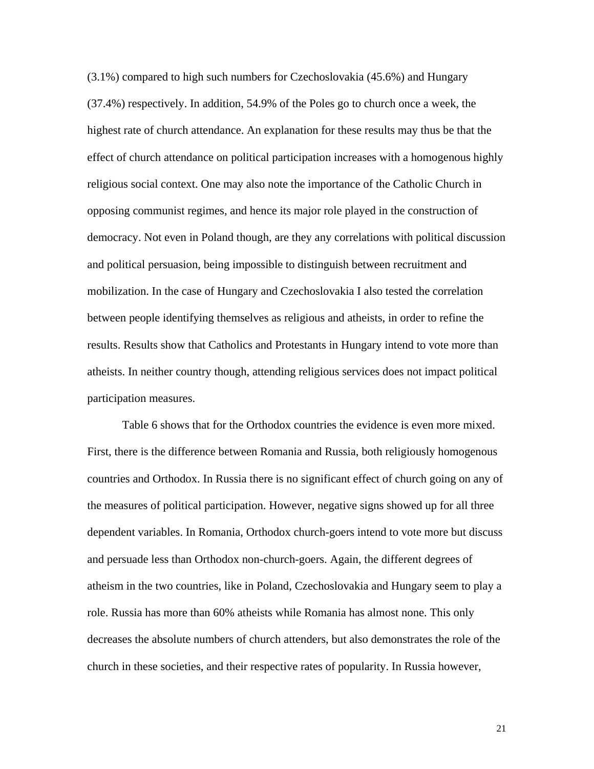(3.1%) compared to high such numbers for Czechoslovakia (45.6%) and Hungary (37.4%) respectively. In addition, 54.9% of the Poles go to church once a week, the highest rate of church attendance. An explanation for these results may thus be that the effect of church attendance on political participation increases with a homogenous highly religious social context. One may also note the importance of the Catholic Church in opposing communist regimes, and hence its major role played in the construction of democracy. Not even in Poland though, are they any correlations with political discussion and political persuasion, being impossible to distinguish between recruitment and mobilization. In the case of Hungary and Czechoslovakia I also tested the correlation between people identifying themselves as religious and atheists, in order to refine the results. Results show that Catholics and Protestants in Hungary intend to vote more than atheists. In neither country though, attending religious services does not impact political participation measures.

Table 6 shows that for the Orthodox countries the evidence is even more mixed. First, there is the difference between Romania and Russia, both religiously homogenous countries and Orthodox. In Russia there is no significant effect of church going on any of the measures of political participation. However, negative signs showed up for all three dependent variables. In Romania, Orthodox church-goers intend to vote more but discuss and persuade less than Orthodox non-church-goers. Again, the different degrees of atheism in the two countries, like in Poland, Czechoslovakia and Hungary seem to play a role. Russia has more than 60% atheists while Romania has almost none. This only decreases the absolute numbers of church attenders, but also demonstrates the role of the church in these societies, and their respective rates of popularity. In Russia however,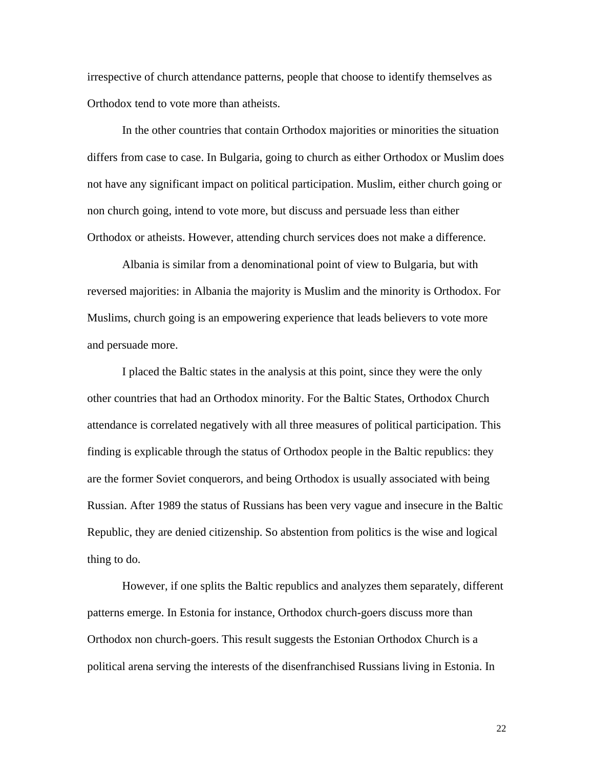irrespective of church attendance patterns, people that choose to identify themselves as Orthodox tend to vote more than atheists.

In the other countries that contain Orthodox majorities or minorities the situation differs from case to case. In Bulgaria, going to church as either Orthodox or Muslim does not have any significant impact on political participation. Muslim, either church going or non church going, intend to vote more, but discuss and persuade less than either Orthodox or atheists. However, attending church services does not make a difference.

Albania is similar from a denominational point of view to Bulgaria, but with reversed majorities: in Albania the majority is Muslim and the minority is Orthodox. For Muslims, church going is an empowering experience that leads believers to vote more and persuade more.

I placed the Baltic states in the analysis at this point, since they were the only other countries that had an Orthodox minority. For the Baltic States, Orthodox Church attendance is correlated negatively with all three measures of political participation. This finding is explicable through the status of Orthodox people in the Baltic republics: they are the former Soviet conquerors, and being Orthodox is usually associated with being Russian. After 1989 the status of Russians has been very vague and insecure in the Baltic Republic, they are denied citizenship. So abstention from politics is the wise and logical thing to do.

However, if one splits the Baltic republics and analyzes them separately, different patterns emerge. In Estonia for instance, Orthodox church-goers discuss more than Orthodox non church-goers. This result suggests the Estonian Orthodox Church is a political arena serving the interests of the disenfranchised Russians living in Estonia. In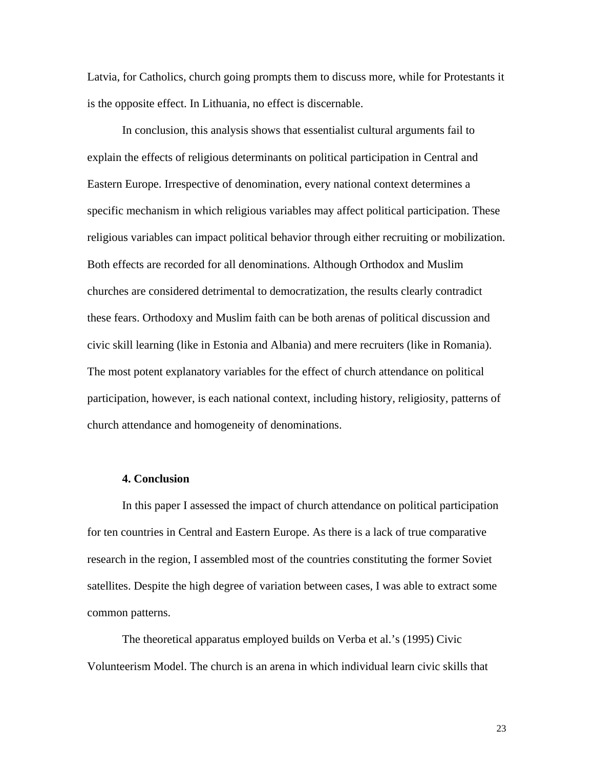Latvia, for Catholics, church going prompts them to discuss more, while for Protestants it is the opposite effect. In Lithuania, no effect is discernable.

 In conclusion, this analysis shows that essentialist cultural arguments fail to explain the effects of religious determinants on political participation in Central and Eastern Europe. Irrespective of denomination, every national context determines a specific mechanism in which religious variables may affect political participation. These religious variables can impact political behavior through either recruiting or mobilization. Both effects are recorded for all denominations. Although Orthodox and Muslim churches are considered detrimental to democratization, the results clearly contradict these fears. Orthodoxy and Muslim faith can be both arenas of political discussion and civic skill learning (like in Estonia and Albania) and mere recruiters (like in Romania). The most potent explanatory variables for the effect of church attendance on political participation, however, is each national context, including history, religiosity, patterns of church attendance and homogeneity of denominations.

# **4. Conclusion**

 In this paper I assessed the impact of church attendance on political participation for ten countries in Central and Eastern Europe. As there is a lack of true comparative research in the region, I assembled most of the countries constituting the former Soviet satellites. Despite the high degree of variation between cases, I was able to extract some common patterns.

 The theoretical apparatus employed builds on Verba et al.'s (1995) Civic Volunteerism Model. The church is an arena in which individual learn civic skills that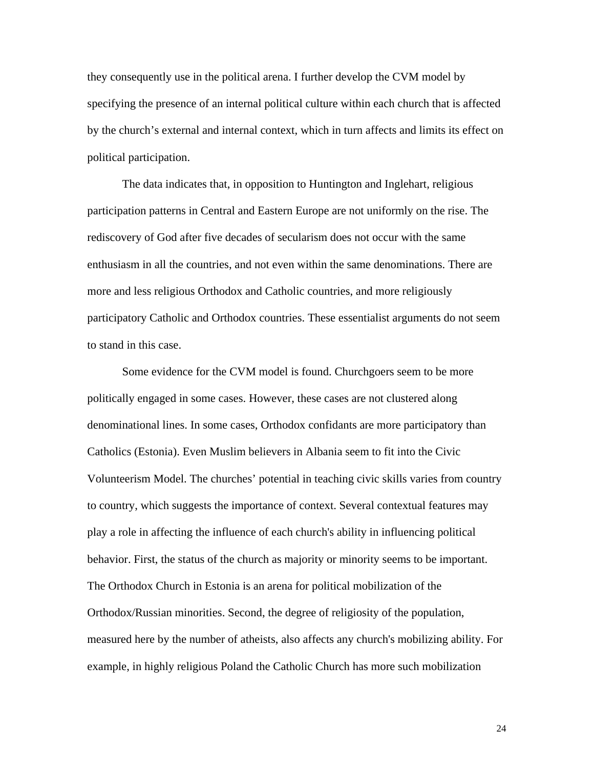they consequently use in the political arena. I further develop the CVM model by specifying the presence of an internal political culture within each church that is affected by the church's external and internal context, which in turn affects and limits its effect on political participation.

 The data indicates that, in opposition to Huntington and Inglehart, religious participation patterns in Central and Eastern Europe are not uniformly on the rise. The rediscovery of God after five decades of secularism does not occur with the same enthusiasm in all the countries, and not even within the same denominations. There are more and less religious Orthodox and Catholic countries, and more religiously participatory Catholic and Orthodox countries. These essentialist arguments do not seem to stand in this case.

 Some evidence for the CVM model is found. Churchgoers seem to be more politically engaged in some cases. However, these cases are not clustered along denominational lines. In some cases, Orthodox confidants are more participatory than Catholics (Estonia). Even Muslim believers in Albania seem to fit into the Civic Volunteerism Model. The churches' potential in teaching civic skills varies from country to country, which suggests the importance of context. Several contextual features may play a role in affecting the influence of each church's ability in influencing political behavior. First, the status of the church as majority or minority seems to be important. The Orthodox Church in Estonia is an arena for political mobilization of the Orthodox/Russian minorities. Second, the degree of religiosity of the population, measured here by the number of atheists, also affects any church's mobilizing ability. For example, in highly religious Poland the Catholic Church has more such mobilization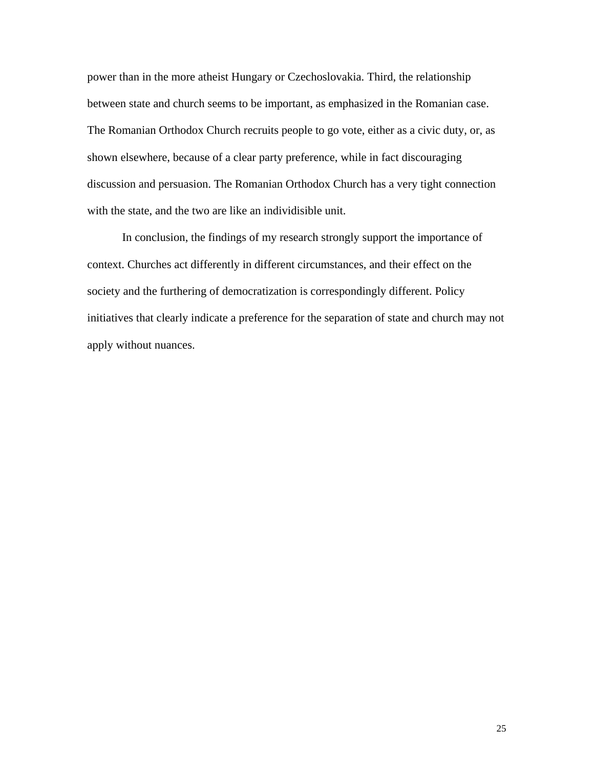power than in the more atheist Hungary or Czechoslovakia. Third, the relationship between state and church seems to be important, as emphasized in the Romanian case. The Romanian Orthodox Church recruits people to go vote, either as a civic duty, or, as shown elsewhere, because of a clear party preference, while in fact discouraging discussion and persuasion. The Romanian Orthodox Church has a very tight connection with the state, and the two are like an individisible unit.

 In conclusion, the findings of my research strongly support the importance of context. Churches act differently in different circumstances, and their effect on the society and the furthering of democratization is correspondingly different. Policy initiatives that clearly indicate a preference for the separation of state and church may not apply without nuances.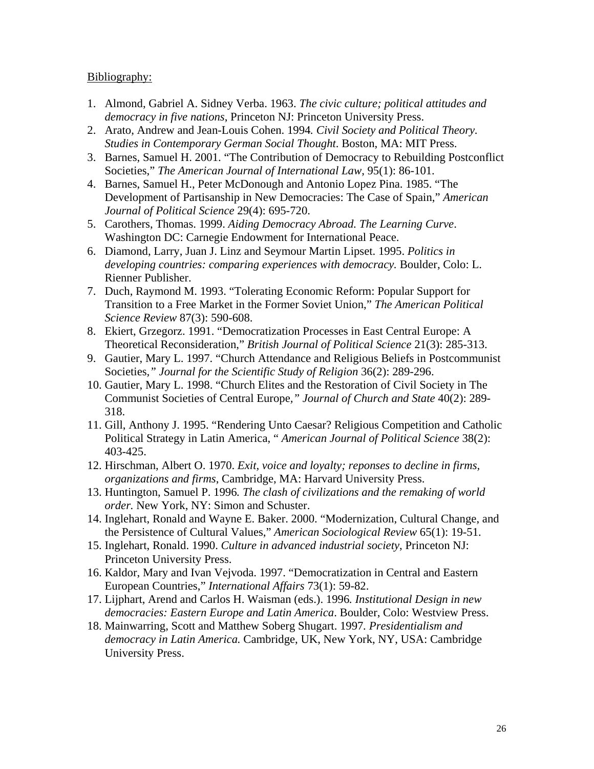# Bibliography:

- 1. Almond, Gabriel A. Sidney Verba. 1963. *The civic culture; political attitudes and democracy in five nations*, Princeton NJ: Princeton University Press.
- 2. Arato, Andrew and Jean-Louis Cohen. 1994*. Civil Society and Political Theory. Studies in Contemporary German Social Thought*. Boston, MA: MIT Press.
- 3. Barnes, Samuel H. 2001. "The Contribution of Democracy to Rebuilding Postconflict Societies," *The American Journal of International Law*, 95(1): 86-101.
- 4. Barnes, Samuel H., Peter McDonough and Antonio Lopez Pina. 1985. "The Development of Partisanship in New Democracies: The Case of Spain," *American Journal of Political Science* 29(4): 695-720.
- 5. Carothers, Thomas. 1999. *Aiding Democracy Abroad. The Learning Curve*. Washington DC: Carnegie Endowment for International Peace.
- 6. Diamond, Larry, Juan J. Linz and Seymour Martin Lipset. 1995. *Politics in developing countries: comparing experiences with democracy.* Boulder, Colo: L. Rienner Publisher.
- 7. Duch, Raymond M. 1993. "Tolerating Economic Reform: Popular Support for Transition to a Free Market in the Former Soviet Union," *The American Political Science Review* 87(3): 590-608.
- 8. Ekiert, Grzegorz. 1991. "Democratization Processes in East Central Europe: A Theoretical Reconsideration," *British Journal of Political Science* 21(3): 285-313.
- 9. Gautier, Mary L. 1997. "Church Attendance and Religious Beliefs in Postcommunist Societies*," Journal for the Scientific Study of Religion* 36(2): 289-296.
- 10. Gautier, Mary L. 1998. "Church Elites and the Restoration of Civil Society in The Communist Societies of Central Europe*," Journal of Church and State* 40(2): 289- 318.
- 11. Gill, Anthony J. 1995. "Rendering Unto Caesar? Religious Competition and Catholic Political Strategy in Latin America, " *American Journal of Political Science* 38(2): 403-425.
- 12. Hirschman, Albert O. 1970. *Exit, voice and loyalty; reponses to decline in firms, organizations and firms*, Cambridge, MA: Harvard University Press.
- 13. Huntington, Samuel P. 1996*. The clash of civilizations and the remaking of world order.* New York, NY: Simon and Schuster.
- 14. Inglehart, Ronald and Wayne E. Baker. 2000. "Modernization, Cultural Change, and the Persistence of Cultural Values," *American Sociological Review* 65(1): 19-51.
- 15. Inglehart, Ronald. 1990. *Culture in advanced industrial society*, Princeton NJ: Princeton University Press.
- 16. Kaldor, Mary and Ivan Vejvoda. 1997. "Democratization in Central and Eastern European Countries," *International Affairs* 73(1): 59-82.
- 17. Lijphart, Arend and Carlos H. Waisman (eds.). 1996*. Institutional Design in new democracies: Eastern Europe and Latin America*. Boulder, Colo: Westview Press.
- 18. Mainwarring, Scott and Matthew Soberg Shugart. 1997*. Presidentialism and democracy in Latin America.* Cambridge, UK, New York, NY, USA: Cambridge University Press.